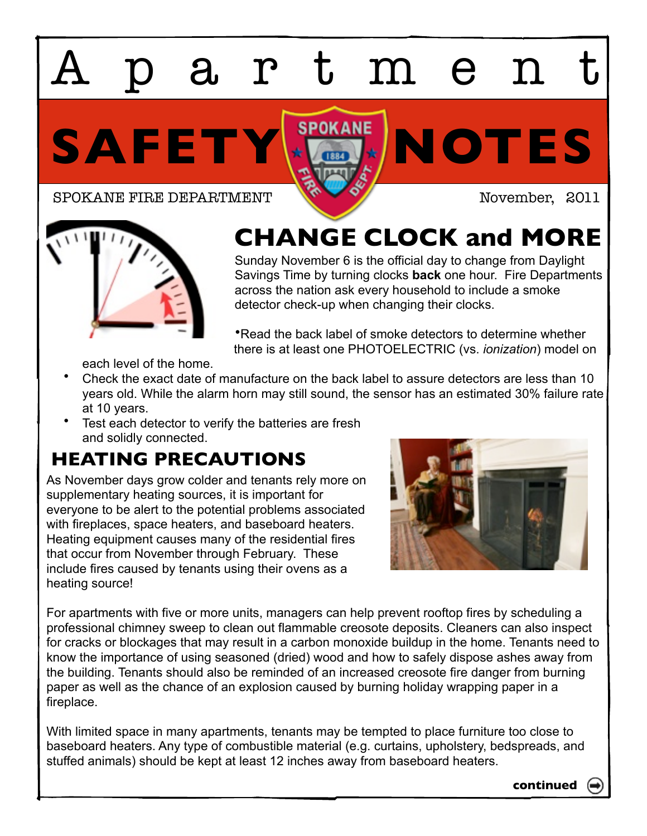# artmen

SAFETY **NOTES** 

SPOKANE FIRE DEPARTMENT NOVEMBER, 2011



## **CHANGE CLOCK and MORE**

Sunday November 6 is the official day to change from Daylight Savings Time by turning clocks **back** one hour. Fire Departments across the nation ask every household to include a smoke detector check-up when changing their clocks.

•Read the back label of smoke detectors to determine whether there is at least one PHOTOELECTRIC (vs. *ionization*) model on

each level of the home.

- Check the exact date of manufacture on the back label to assure detectors are less than 10 years old. While the alarm horn may still sound, the sensor has an estimated 30% failure rate at 10 years.
- Test each detector to verify the batteries are fresh and solidly connected.

### **HEATING PRECAUTIONS**

As November days grow colder and tenants rely more on supplementary heating sources, it is important for everyone to be alert to the potential problems associated with fireplaces, space heaters, and baseboard heaters. Heating equipment causes many of the residential fires that occur from November through February. These include fires caused by tenants using their ovens as a heating source!



For apartments with five or more units, managers can help prevent rooftop fires by scheduling a professional chimney sweep to clean out flammable creosote deposits. Cleaners can also inspect for cracks or blockages that may result in a carbon monoxide buildup in the home. Tenants need to know the importance of using seasoned (dried) wood and how to safely dispose ashes away from the building. Tenants should also be reminded of an increased creosote fire danger from burning paper as well as the chance of an explosion caused by burning holiday wrapping paper in a fireplace.

With limited space in many apartments, tenants may be tempted to place furniture too close to baseboard heaters. Any type of combustible material (e.g. curtains, upholstery, bedspreads, and stuffed animals) should be kept at least 12 inches away from baseboard heaters.